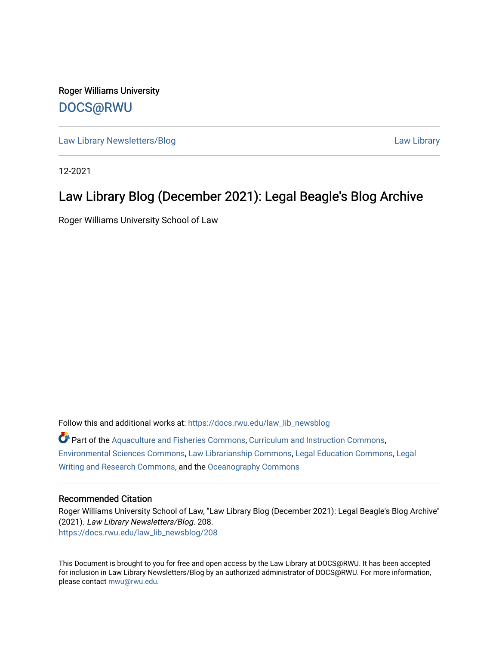Roger Williams University [DOCS@RWU](https://docs.rwu.edu/)

[Law Library Newsletters/Blog](https://docs.rwu.edu/law_lib_newsblog) [Law Library](https://docs.rwu.edu/law_lib) 

12-2021

#### Law Library Blog (December 2021): Legal Beagle's Blog Archive

Roger Williams University School of Law

Follow this and additional works at: [https://docs.rwu.edu/law\\_lib\\_newsblog](https://docs.rwu.edu/law_lib_newsblog?utm_source=docs.rwu.edu%2Flaw_lib_newsblog%2F208&utm_medium=PDF&utm_campaign=PDFCoverPages)  Part of the [Aquaculture and Fisheries Commons](http://network.bepress.com/hgg/discipline/78?utm_source=docs.rwu.edu%2Flaw_lib_newsblog%2F208&utm_medium=PDF&utm_campaign=PDFCoverPages), [Curriculum and Instruction Commons](http://network.bepress.com/hgg/discipline/786?utm_source=docs.rwu.edu%2Flaw_lib_newsblog%2F208&utm_medium=PDF&utm_campaign=PDFCoverPages), [Environmental Sciences Commons,](http://network.bepress.com/hgg/discipline/167?utm_source=docs.rwu.edu%2Flaw_lib_newsblog%2F208&utm_medium=PDF&utm_campaign=PDFCoverPages) [Law Librarianship Commons](http://network.bepress.com/hgg/discipline/1393?utm_source=docs.rwu.edu%2Flaw_lib_newsblog%2F208&utm_medium=PDF&utm_campaign=PDFCoverPages), [Legal Education Commons](http://network.bepress.com/hgg/discipline/857?utm_source=docs.rwu.edu%2Flaw_lib_newsblog%2F208&utm_medium=PDF&utm_campaign=PDFCoverPages), [Legal](http://network.bepress.com/hgg/discipline/614?utm_source=docs.rwu.edu%2Flaw_lib_newsblog%2F208&utm_medium=PDF&utm_campaign=PDFCoverPages)  [Writing and Research Commons,](http://network.bepress.com/hgg/discipline/614?utm_source=docs.rwu.edu%2Flaw_lib_newsblog%2F208&utm_medium=PDF&utm_campaign=PDFCoverPages) and the [Oceanography Commons](http://network.bepress.com/hgg/discipline/191?utm_source=docs.rwu.edu%2Flaw_lib_newsblog%2F208&utm_medium=PDF&utm_campaign=PDFCoverPages) 

#### Recommended Citation

Roger Williams University School of Law, "Law Library Blog (December 2021): Legal Beagle's Blog Archive" (2021). Law Library Newsletters/Blog. 208. [https://docs.rwu.edu/law\\_lib\\_newsblog/208](https://docs.rwu.edu/law_lib_newsblog/208?utm_source=docs.rwu.edu%2Flaw_lib_newsblog%2F208&utm_medium=PDF&utm_campaign=PDFCoverPages) 

This Document is brought to you for free and open access by the Law Library at DOCS@RWU. It has been accepted for inclusion in Law Library Newsletters/Blog by an authorized administrator of DOCS@RWU. For more information, please contact [mwu@rwu.edu.](mailto:mwu@rwu.edu)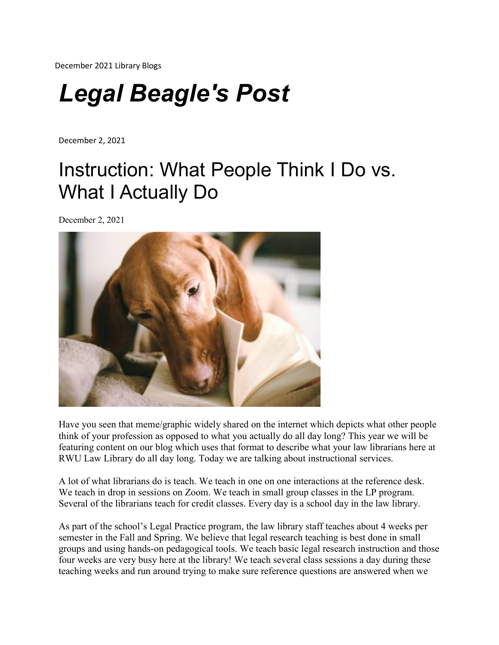December 2021 Library Blogs

# *Legal Beagle's Post*

December 2, 2021

### Instruction: What People Think I Do vs. What I Actually Do

December 2, 2021



Have you seen that meme/graphic widely shared on the internet which depicts what other people think of your profession as opposed to what you actually do all day long? This year we will be featuring content on our blog which uses that format to describe what your law librarians here at RWU Law Library do all day long. Today we are talking about instructional services.

A lot of what librarians do is teach. We teach in one on one interactions at the reference desk. We teach in drop in sessions on Zoom. We teach in small group classes in the LP program. Several of the librarians teach for credit classes. Every day is a school day in the law library.

As part of the school's Legal Practice program, the law library staff teaches about 4 weeks per semester in the Fall and Spring. We believe that legal research teaching is best done in small groups and using hands-on pedagogical tools. We teach basic legal research instruction and those four weeks are very busy here at the library! We teach several class sessions a day during these teaching weeks and run around trying to make sure reference questions are answered when we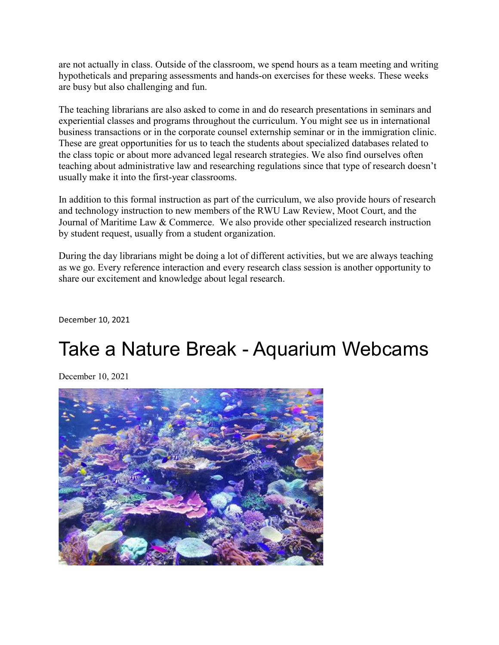are not actually in class. Outside of the classroom, we spend hours as a team meeting and writing hypotheticals and preparing assessments and hands-on exercises for these weeks. These weeks are busy but also challenging and fun.

The teaching librarians are also asked to come in and do research presentations in seminars and experiential classes and programs throughout the curriculum. You might see us in international business transactions or in the corporate counsel externship seminar or in the immigration clinic. These are great opportunities for us to teach the students about specialized databases related to the class topic or about more advanced legal research strategies. We also find ourselves often teaching about administrative law and researching regulations since that type of research doesn't usually make it into the first-year classrooms.

In addition to this formal instruction as part of the curriculum, we also provide hours of research and technology instruction to new members of the RWU Law Review, Moot Court, and the Journal of Maritime Law & Commerce. We also provide other specialized research instruction by student request, usually from a student organization.

During the day librarians might be doing a lot of different activities, but we are always teaching as we go. Every reference interaction and every research class session is another opportunity to share our excitement and knowledge about legal research.

December 10, 2021

#### Take a Nature Break - Aquarium Webcams

December 10, 2021

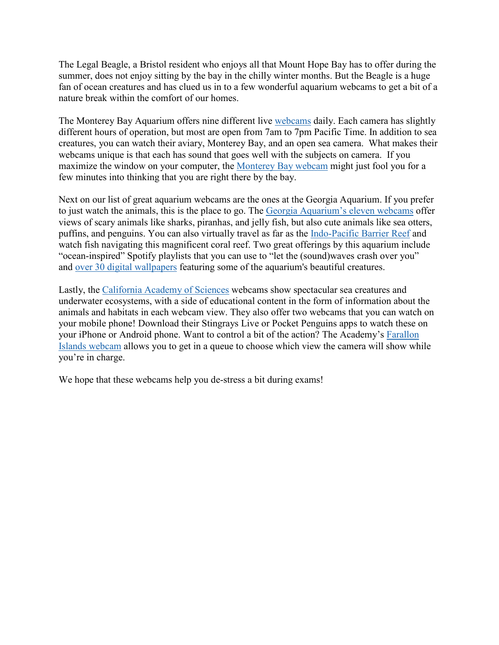The Legal Beagle, a Bristol resident who enjoys all that Mount Hope Bay has to offer during the summer, does not enjoy sitting by the bay in the chilly winter months. But the Beagle is a huge fan of ocean creatures and has clued us in to a few wonderful aquarium webcams to get a bit of a nature break within the comfort of our homes.

The Monterey Bay Aquarium offers nine different live [webcams](https://www.montereybayaquarium.org/animals/live-cams) daily. Each camera has slightly different hours of operation, but most are open from 7am to 7pm Pacific Time. In addition to sea creatures, you can watch their aviary, Monterey Bay, and an open sea camera. What makes their webcams unique is that each has sound that goes well with the subjects on camera. If you maximize the window on your computer, the [Monterey](https://www.montereybayaquarium.org/animals/live-cams/monterey-bay-cam) Bay webcam might just fool you for a few minutes into thinking that you are right there by the bay.

Next on our list of great aquarium webcams are the ones at the Georgia Aquarium. If you prefer to just watch the animals, this is the place to go. The Georgia [Aquarium's](https://www.georgiaaquarium.org/webcam/) eleven webcams offer views of scary animals like sharks, piranhas, and jelly fish, but also cute animals like sea otters, puffins, and penguins. You can also virtually travel as far as the [Indo-Pacific](https://www.georgiaaquarium.org/webcam/indo-pacific-barrier-reef/) Barrier Reef and watch fish navigating this magnificent coral reef. Two great offerings by this aquarium include "ocean-inspired" Spotify playlists that you can use to "let the (sound)waves crash over you" and over 30 digital [wallpapers](https://www.georgiaaquarium.org/digital-wallpapers/) featuring some of the aquarium's beautiful creatures.

Lastly, the [California](https://www.calacademy.org/learn-explore/animal-webcams) Academy of Sciences webcams show spectacular sea creatures and underwater ecosystems, with a side of educational content in the form of information about the animals and habitats in each webcam view. They also offer two webcams that you can watch on your mobile phone! Download their Stingrays Live or Pocket Penguins apps to watch these on your iPhone or Android phone. Want to control a bit of the action? The Academy's [Farallon](https://www.calacademy.org/webcams/farallones) Islands [webcam](https://www.calacademy.org/webcams/farallones) allows you to get in a queue to choose which view the camera will show while you're in charge.

We hope that these webcams help you de-stress a bit during exams!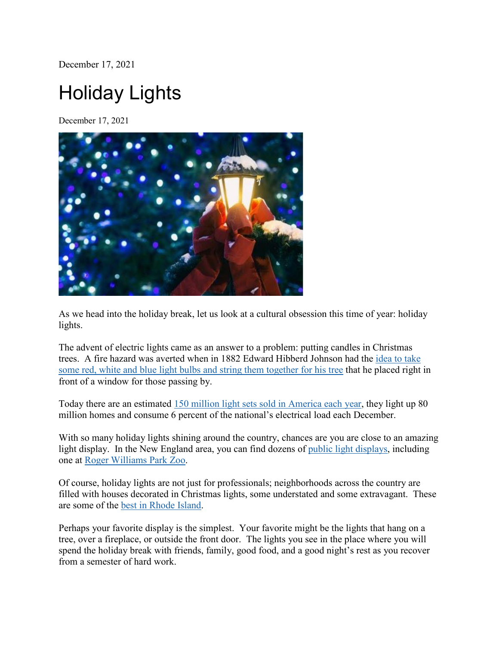December 17, 2021

## Holiday Lights

December 17, 2021



As we head into the holiday break, let us look at a cultural obsession this time of year: holiday lights.

The advent of electric lights came as an answer to a problem: putting candles in Christmas trees. A fire hazard was averted when in 1882 Edward Hibberd Johnson had the [idea](https://www.smithsonianmag.com/history/untangling-history-christmas-lights-180961140/) to take some red, white and blue light bulbs and string them [together](https://www.smithsonianmag.com/history/untangling-history-christmas-lights-180961140/) for his tree that he placed right in front of a window for those passing by.

Today there are an estimated 150 million light sets sold in [America](https://www.smithsonianmag.com/history/untangling-history-christmas-lights-180961140/) each year, they light up 80 million homes and consume 6 percent of the national's electrical load each December.

With so many holiday lights shining around the country, chances are you are close to an amazing light display. In the New England area, you can find dozens of public light [displays,](https://newengland.com/today/today/christmas-light-displays-new-england-holiday-bucket-list/) including one at Roger [Williams](https://www.rwpzoo.org/) Park Zoo.

Of course, holiday lights are not just for professionals; neighborhoods across the country are filled with houses decorated in Christmas lights, some understated and some extravagant. These are some of the best in [Rhode](https://www.wpri.com/dont-miss/all-is-bright-the-best-2021-holiday-light-shows-and-displays-in-ri-ma/) Island.

Perhaps your favorite display is the simplest. Your favorite might be the lights that hang on a tree, over a fireplace, or outside the front door. The lights you see in the place where you will spend the holiday break with friends, family, good food, and a good night's rest as you recover from a semester of hard work.